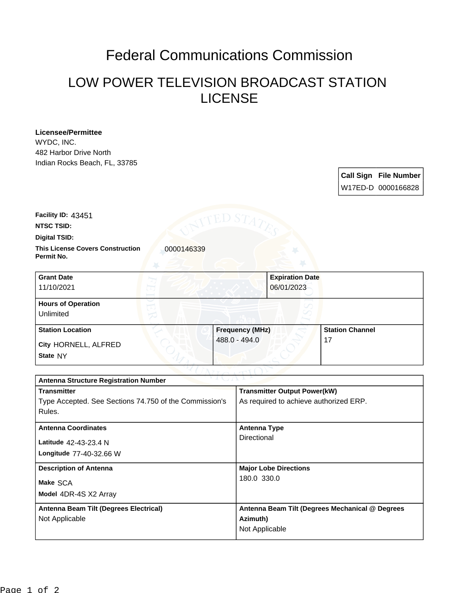## Federal Communications Commission

## LOW POWER TELEVISION BROADCAST STATION LICENSE

**Licensee/Permittee** WYDC, INC. 482 Harbor Drive North Indian Rocks Beach, FL, 33785

> **Call Sign File Number** W17ED-D 0000166828

**Facility ID:** 43451

**NTSC TSID:**

**Digital TSID:**

**This License Covers Construction**  0000146339 **Permit No.**

**State** NY **City** HORNELL, ALFRED **Grant Date** 11/10/2021 **Expiration Date** 06/01/2023 **Hours of Operation** Unlimited **Station Location Figure 1.1 (C) Frequency (MHz)** 488.0 - 494.0 **Station Channel** 17

| $\sim$ v $\perp$ ( $\perp$ $\sim$ $\perp$ $\perp$<br><b>Antenna Structure Registration Number</b> |                                                 |
|---------------------------------------------------------------------------------------------------|-------------------------------------------------|
| <b>Transmitter</b>                                                                                | <b>Transmitter Output Power(kW)</b>             |
| Type Accepted. See Sections 74.750 of the Commission's                                            | As required to achieve authorized ERP.          |
| Rules.                                                                                            |                                                 |
| <b>Antenna Coordinates</b>                                                                        | <b>Antenna Type</b>                             |
|                                                                                                   | Directional                                     |
| Latitude 42-43-23.4 N                                                                             |                                                 |
| Longitude 77-40-32.66 W                                                                           |                                                 |
| <b>Description of Antenna</b>                                                                     | <b>Major Lobe Directions</b>                    |
| Make SCA                                                                                          | 180.0 330.0                                     |
|                                                                                                   |                                                 |
| Model 4DR-4S X2 Array                                                                             |                                                 |
| Antenna Beam Tilt (Degrees Electrical)                                                            | Antenna Beam Tilt (Degrees Mechanical @ Degrees |
| Not Applicable                                                                                    | Azimuth)                                        |
|                                                                                                   | Not Applicable                                  |
|                                                                                                   |                                                 |